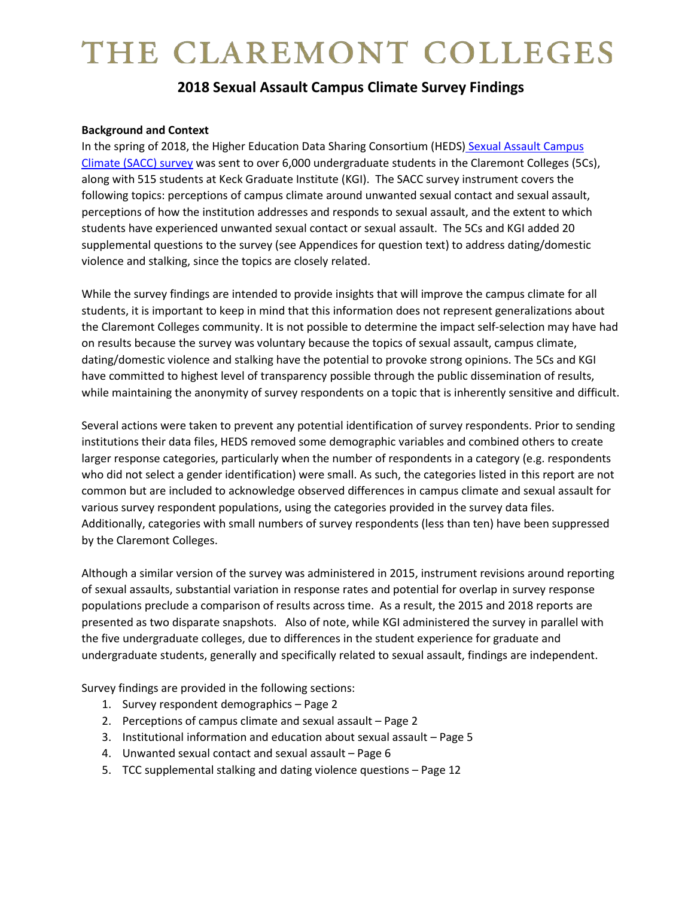# THE CLAREMONT COLLEGES

# **2018 Sexual Assault Campus Climate Survey Findings**

#### **Background and Context**

In the spring of 2018, the Higher Education Data Sharing Consortium (HEDS) [Sexual Assault Campus](https://www.hedsconsortium.org/wp-content/uploads/SACCS_2018_Sample_2017-09-20-1.pdf)  [Climate \(SACC\) survey](https://www.hedsconsortium.org/wp-content/uploads/SACCS_2018_Sample_2017-09-20-1.pdf) was sent to over 6,000 undergraduate students in the Claremont Colleges (5Cs), along with 515 students at Keck Graduate Institute (KGI). The SACC survey instrument covers the following topics: perceptions of campus climate around unwanted sexual contact and sexual assault, perceptions of how the institution addresses and responds to sexual assault, and the extent to which students have experienced unwanted sexual contact or sexual assault. The 5Cs and KGI added 20 supplemental questions to the survey (see Appendices for question text) to address dating/domestic violence and stalking, since the topics are closely related.

While the survey findings are intended to provide insights that will improve the campus climate for all students, it is important to keep in mind that this information does not represent generalizations about the Claremont Colleges community. It is not possible to determine the impact self-selection may have had on results because the survey was voluntary because the topics of sexual assault, campus climate, dating/domestic violence and stalking have the potential to provoke strong opinions. The 5Cs and KGI have committed to highest level of transparency possible through the public dissemination of results, while maintaining the anonymity of survey respondents on a topic that is inherently sensitive and difficult.

Several actions were taken to prevent any potential identification of survey respondents. Prior to sending institutions their data files, HEDS removed some demographic variables and combined others to create larger response categories, particularly when the number of respondents in a category (e.g. respondents who did not select a gender identification) were small. As such, the categories listed in this report are not common but are included to acknowledge observed differences in campus climate and sexual assault for various survey respondent populations, using the categories provided in the survey data files. Additionally, categories with small numbers of survey respondents (less than ten) have been suppressed by the Claremont Colleges.

Although a similar version of the survey was administered in 2015, instrument revisions around reporting of sexual assaults, substantial variation in response rates and potential for overlap in survey response populations preclude a comparison of results across time. As a result, the 2015 and 2018 reports are presented as two disparate snapshots. Also of note, while KGI administered the survey in parallel with the five undergraduate colleges, due to differences in the student experience for graduate and undergraduate students, generally and specifically related to sexual assault, findings are independent.

Survey findings are provided in the following sections:

- 1. Survey respondent demographics Page 2
- 2. Perceptions of campus climate and sexual assault Page 2
- 3. Institutional information and education about sexual assault Page 5
- 4. Unwanted sexual contact and sexual assault Page 6
- 5. TCC supplemental stalking and dating violence questions Page 12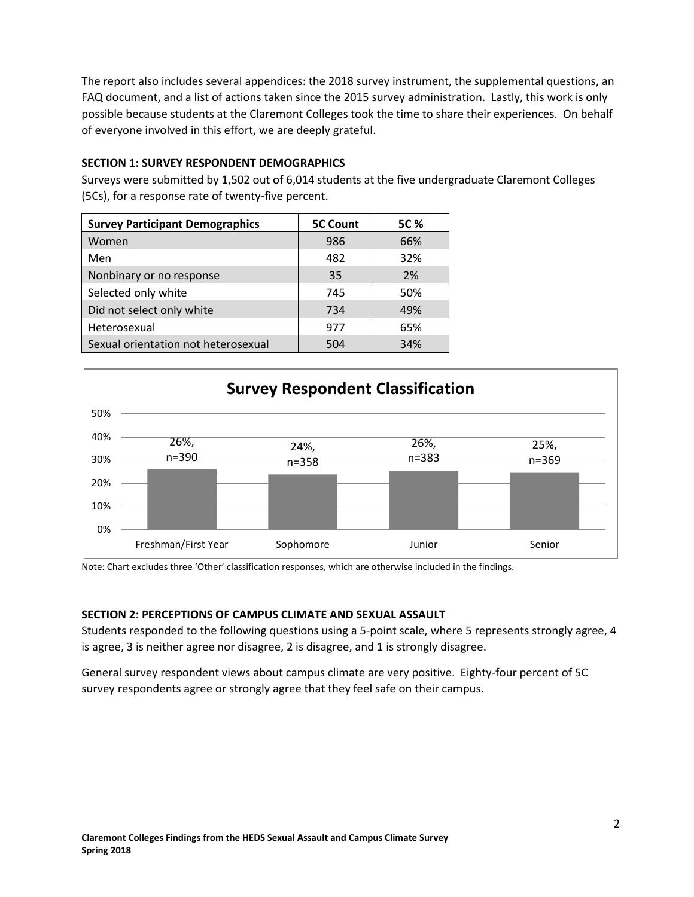The report also includes several appendices: the 2018 survey instrument, the supplemental questions, an FAQ document, and a list of actions taken since the 2015 survey administration. Lastly, this work is only possible because students at the Claremont Colleges took the time to share their experiences. On behalf of everyone involved in this effort, we are deeply grateful.

### **SECTION 1: SURVEY RESPONDENT DEMOGRAPHICS**

Surveys were submitted by 1,502 out of 6,014 students at the five undergraduate Claremont Colleges (5Cs), for a response rate of twenty-five percent.

| <b>Survey Participant Demographics</b> | <b>5C Count</b> | 5C % |
|----------------------------------------|-----------------|------|
| Women                                  | 986             | 66%  |
| Men                                    | 482             | 32%  |
| Nonbinary or no response               | 35              | 2%   |
| Selected only white                    | 745             | 50%  |
| Did not select only white              | 734             | 49%  |
| Heterosexual                           | 977             | 65%  |
| Sexual orientation not heterosexual    | 504             | 34%  |



Note: Chart excludes three 'Other' classification responses, which are otherwise included in the findings.

#### **SECTION 2: PERCEPTIONS OF CAMPUS CLIMATE AND SEXUAL ASSAULT**

Students responded to the following questions using a 5-point scale, where 5 represents strongly agree, 4 is agree, 3 is neither agree nor disagree, 2 is disagree, and 1 is strongly disagree.

General survey respondent views about campus climate are very positive. Eighty-four percent of 5C survey respondents agree or strongly agree that they feel safe on their campus.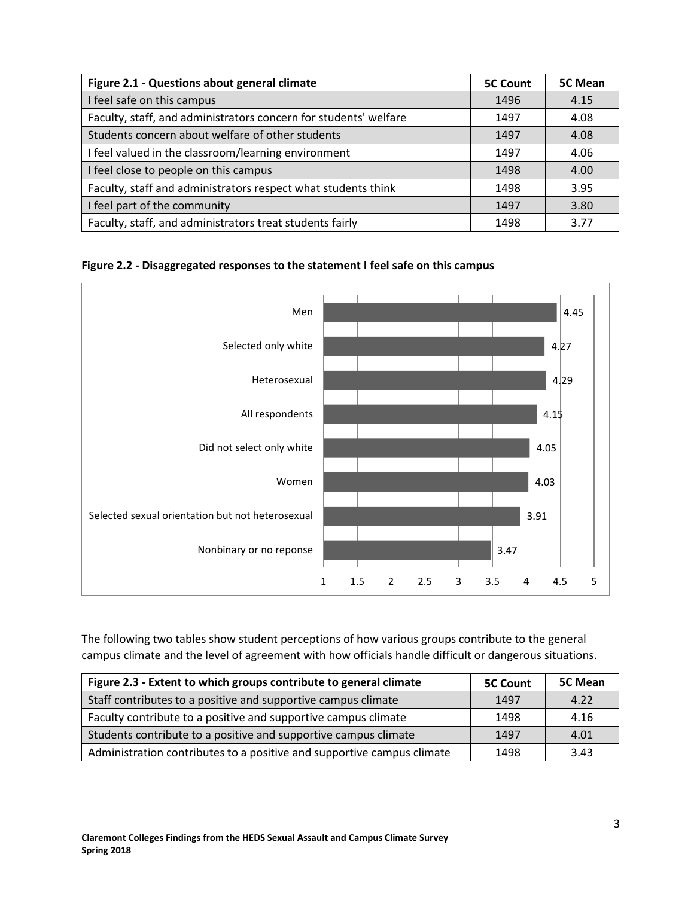| Figure 2.1 - Questions about general climate                     | <b>5C Count</b> | 5C Mean |
|------------------------------------------------------------------|-----------------|---------|
| I feel safe on this campus                                       | 1496            | 4.15    |
| Faculty, staff, and administrators concern for students' welfare | 1497            | 4.08    |
| Students concern about welfare of other students                 | 1497            | 4.08    |
| I feel valued in the classroom/learning environment              | 1497            | 4.06    |
| I feel close to people on this campus                            | 1498            | 4.00    |
| Faculty, staff and administrators respect what students think    | 1498            | 3.95    |
| I feel part of the community                                     | 1497            | 3.80    |
| Faculty, staff, and administrators treat students fairly         | 1498            | 3.77    |

# **Figure 2.2 - Disaggregated responses to the statement I feel safe on this campus**



The following two tables show student perceptions of how various groups contribute to the general campus climate and the level of agreement with how officials handle difficult or dangerous situations.

| Figure 2.3 - Extent to which groups contribute to general climate      | <b>5C Count</b> | 5C Mean |
|------------------------------------------------------------------------|-----------------|---------|
| Staff contributes to a positive and supportive campus climate          | 1497            | 4.22    |
| Faculty contribute to a positive and supportive campus climate         | 1498            | 4.16    |
| Students contribute to a positive and supportive campus climate        | 1497            | 4.01    |
| Administration contributes to a positive and supportive campus climate | 1498            | 3.43    |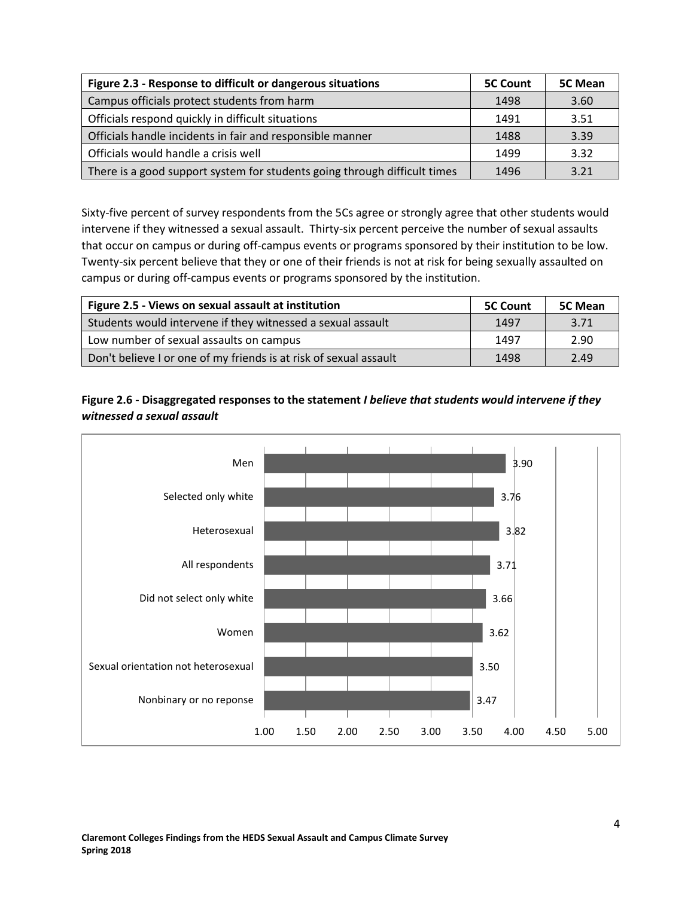| Figure 2.3 - Response to difficult or dangerous situations                | <b>5C Count</b> | <b>5C Mean</b> |
|---------------------------------------------------------------------------|-----------------|----------------|
| Campus officials protect students from harm                               | 1498            | 3.60           |
| Officials respond quickly in difficult situations                         | 1491            | 3.51           |
| Officials handle incidents in fair and responsible manner                 | 1488            | 3.39           |
| Officials would handle a crisis well                                      | 1499            | 3.32           |
| There is a good support system for students going through difficult times | 1496            | 3.21           |

Sixty-five percent of survey respondents from the 5Cs agree or strongly agree that other students would intervene if they witnessed a sexual assault. Thirty-six percent perceive the number of sexual assaults that occur on campus or during off-campus events or programs sponsored by their institution to be low. Twenty-six percent believe that they or one of their friends is not at risk for being sexually assaulted on campus or during off-campus events or programs sponsored by the institution.

| Figure 2.5 - Views on sexual assault at institution               | <b>5C Count</b> | <b>5C Mean</b> |
|-------------------------------------------------------------------|-----------------|----------------|
| Students would intervene if they witnessed a sexual assault       | 1497            | 3.71           |
| Low number of sexual assaults on campus                           | 1497            | 2.90           |
| Don't believe I or one of my friends is at risk of sexual assault | 1498            | 2.49           |



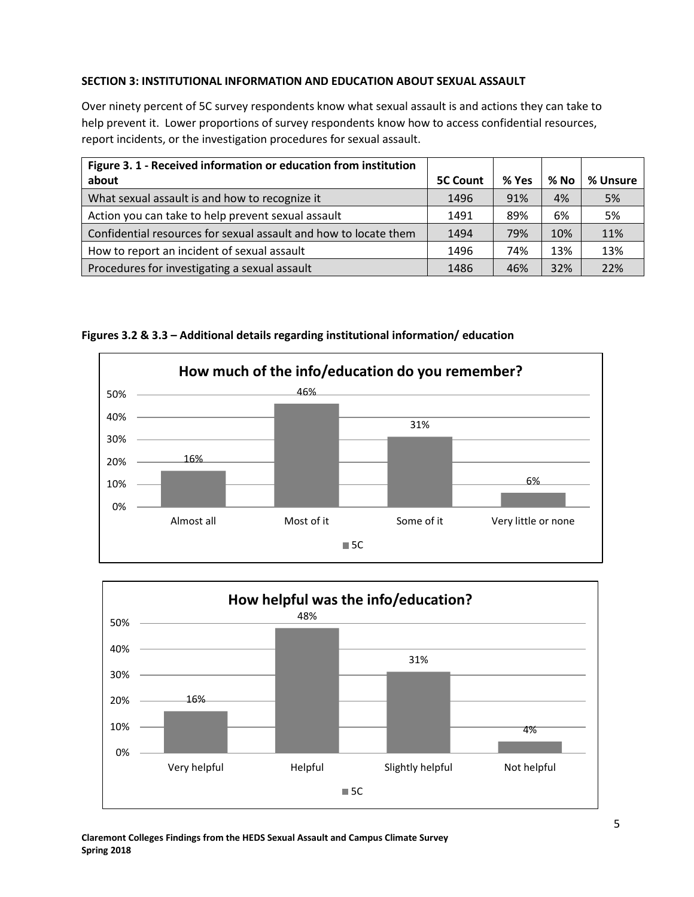# **SECTION 3: INSTITUTIONAL INFORMATION AND EDUCATION ABOUT SEXUAL ASSAULT**

Over ninety percent of 5C survey respondents know what sexual assault is and actions they can take to help prevent it. Lower proportions of survey respondents know how to access confidential resources, report incidents, or the investigation procedures for sexual assault.

| Figure 3. 1 - Received information or education from institution |                 |       |        |          |
|------------------------------------------------------------------|-----------------|-------|--------|----------|
| about                                                            | <b>5C Count</b> | % Yes | $%$ No | % Unsure |
| What sexual assault is and how to recognize it                   | 1496            | 91%   | 4%     | 5%       |
| Action you can take to help prevent sexual assault               | 1491            | 89%   | 6%     | 5%       |
| Confidential resources for sexual assault and how to locate them | 1494            | 79%   | 10%    | 11%      |
| How to report an incident of sexual assault                      | 1496            | 74%   | 13%    | 13%      |
| Procedures for investigating a sexual assault                    | 1486            | 46%   | 32%    | 22%      |



**Figures 3.2 & 3.3 – Additional details regarding institutional information/ education**

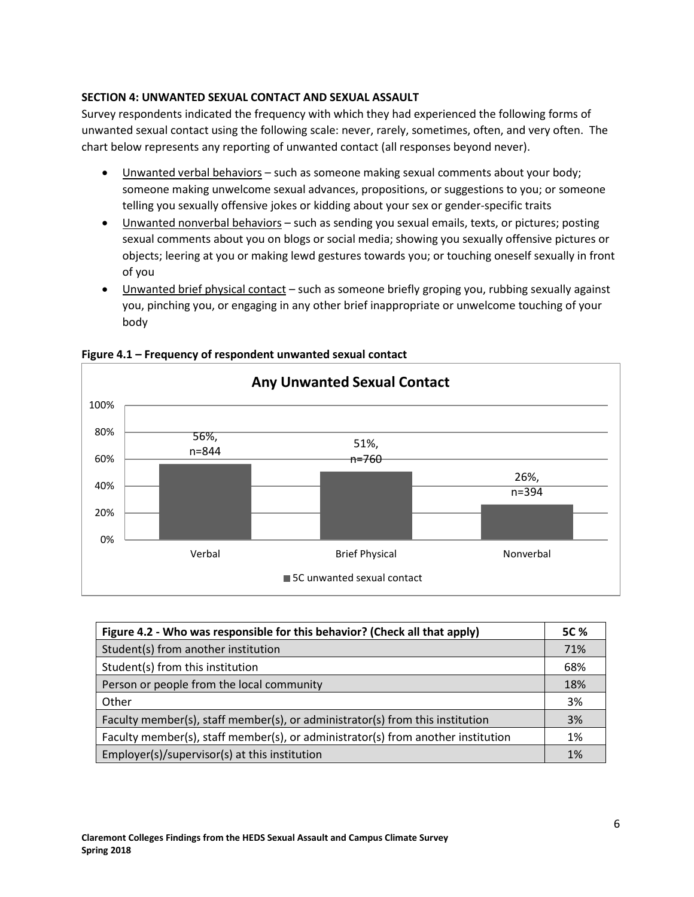# **SECTION 4: UNWANTED SEXUAL CONTACT AND SEXUAL ASSAULT**

Survey respondents indicated the frequency with which they had experienced the following forms of unwanted sexual contact using the following scale: never, rarely, sometimes, often, and very often. The chart below represents any reporting of unwanted contact (all responses beyond never).

- Unwanted verbal behaviors such as someone making sexual comments about your body; someone making unwelcome sexual advances, propositions, or suggestions to you; or someone telling you sexually offensive jokes or kidding about your sex or gender-specific traits
- Unwanted nonverbal behaviors such as sending you sexual emails, texts, or pictures; posting sexual comments about you on blogs or social media; showing you sexually offensive pictures or objects; leering at you or making lewd gestures towards you; or touching oneself sexually in front of you
- Unwanted brief physical contact such as someone briefly groping you, rubbing sexually against you, pinching you, or engaging in any other brief inappropriate or unwelcome touching of your body



**Figure 4.1 – Frequency of respondent unwanted sexual contact** 

| Figure 4.2 - Who was responsible for this behavior? (Check all that apply)       |     |
|----------------------------------------------------------------------------------|-----|
| Student(s) from another institution                                              | 71% |
| Student(s) from this institution                                                 | 68% |
| Person or people from the local community                                        | 18% |
| Other                                                                            | 3%  |
| Faculty member(s), staff member(s), or administrator(s) from this institution    | 3%  |
| Faculty member(s), staff member(s), or administrator(s) from another institution |     |
| Employer(s)/supervisor(s) at this institution                                    | 1%  |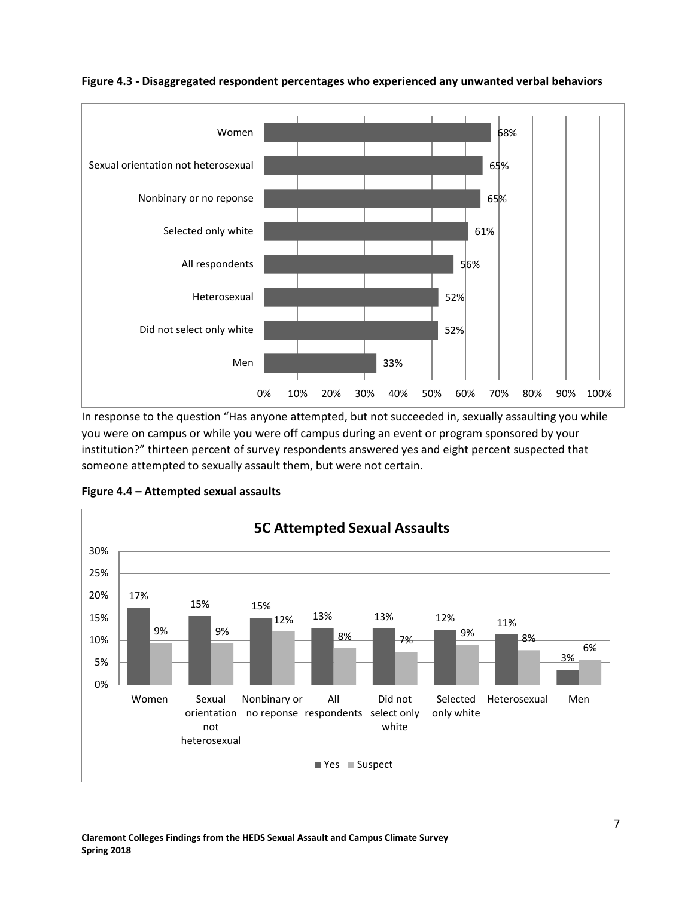

**Figure 4.3 - Disaggregated respondent percentages who experienced any unwanted verbal behaviors** 

In response to the question "Has anyone attempted, but not succeeded in, sexually assaulting you while you were on campus or while you were off campus during an event or program sponsored by your institution?" thirteen percent of survey respondents answered yes and eight percent suspected that someone attempted to sexually assault them, but were not certain.



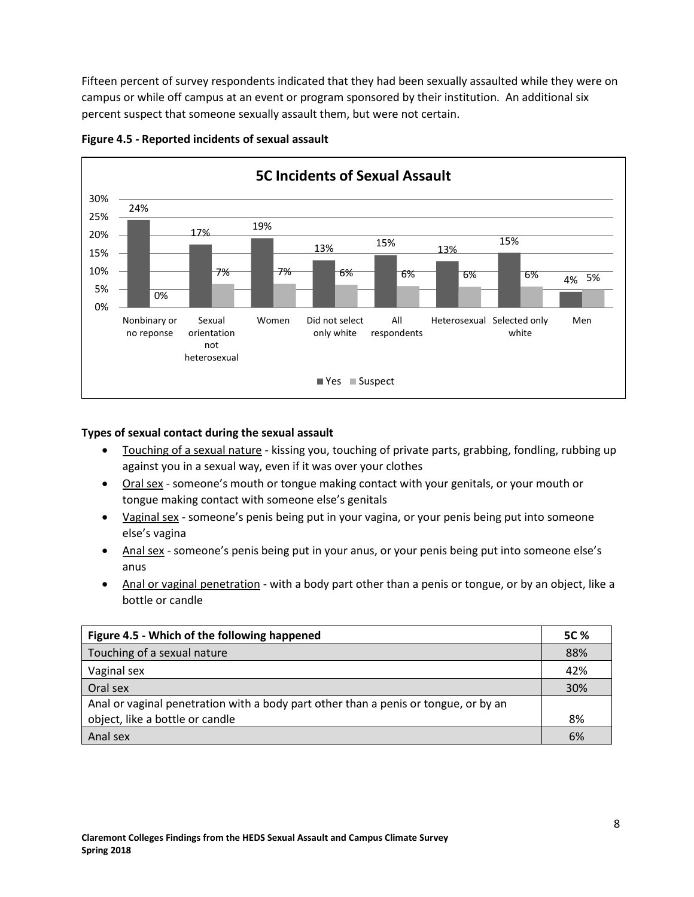Fifteen percent of survey respondents indicated that they had been sexually assaulted while they were on campus or while off campus at an event or program sponsored by their institution. An additional six percent suspect that someone sexually assault them, but were not certain.



#### **Figure 4.5 - Reported incidents of sexual assault**

### **Types of sexual contact during the sexual assault**

- Touching of a sexual nature kissing you, touching of private parts, grabbing, fondling, rubbing up against you in a sexual way, even if it was over your clothes
- Oral sex someone's mouth or tongue making contact with your genitals, or your mouth or tongue making contact with someone else's genitals
- Vaginal sex someone's penis being put in your vagina, or your penis being put into someone else's vagina
- Anal sex someone's penis being put in your anus, or your penis being put into someone else's anus
- Anal or vaginal penetration with a body part other than a penis or tongue, or by an object, like a bottle or candle

| Figure 4.5 - Which of the following happened                                        |     |
|-------------------------------------------------------------------------------------|-----|
| Touching of a sexual nature                                                         | 88% |
| Vaginal sex                                                                         |     |
| Oral sex                                                                            |     |
| Anal or vaginal penetration with a body part other than a penis or tongue, or by an |     |
| object, like a bottle or candle                                                     | 8%  |
| Anal sex                                                                            | 6%  |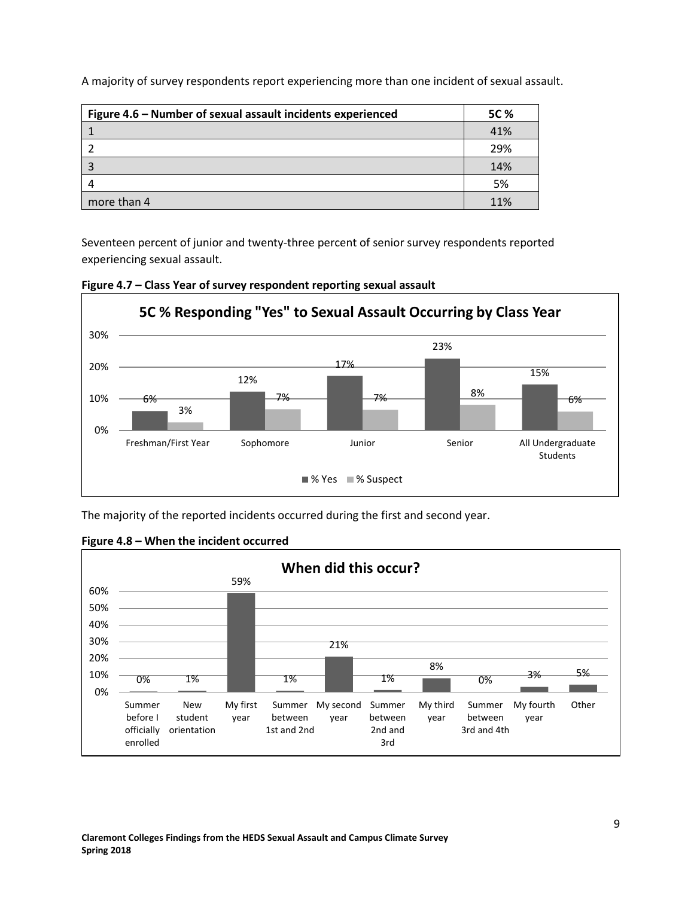| Figure 4.6 – Number of sexual assault incidents experienced | 5C % |
|-------------------------------------------------------------|------|
|                                                             | 41%  |
|                                                             | 29%  |
|                                                             | 14%  |
| 4                                                           | 5%   |
| more than 4                                                 | 11%  |

A majority of survey respondents report experiencing more than one incident of sexual assault.

Seventeen percent of junior and twenty-three percent of senior survey respondents reported experiencing sexual assault.





The majority of the reported incidents occurred during the first and second year.



**Figure 4.8 – When the incident occurred**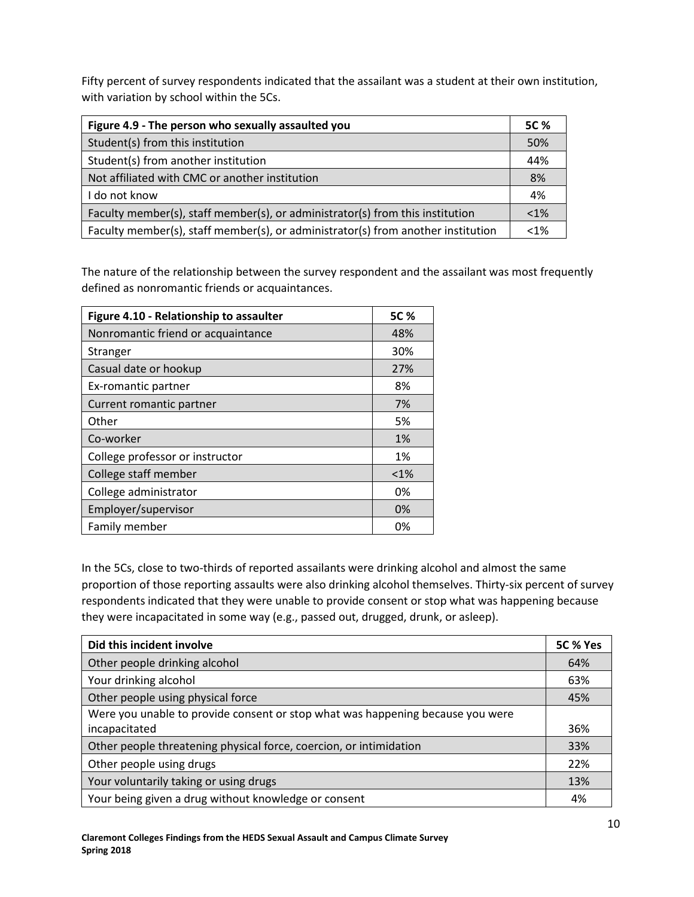Fifty percent of survey respondents indicated that the assailant was a student at their own institution, with variation by school within the 5Cs.

| Figure 4.9 - The person who sexually assaulted you                               | 5C %    |
|----------------------------------------------------------------------------------|---------|
| Student(s) from this institution                                                 | 50%     |
| Student(s) from another institution                                              | 44%     |
| Not affiliated with CMC or another institution                                   | 8%      |
| I do not know                                                                    | 4%      |
| Faculty member(s), staff member(s), or administrator(s) from this institution    | $< 1\%$ |
| Faculty member(s), staff member(s), or administrator(s) from another institution | $< 1\%$ |

The nature of the relationship between the survey respondent and the assailant was most frequently defined as nonromantic friends or acquaintances.

| Figure 4.10 - Relationship to assaulter | 5C %    |
|-----------------------------------------|---------|
| Nonromantic friend or acquaintance      | 48%     |
| Stranger                                | 30%     |
| Casual date or hookup                   | 27%     |
| Ex-romantic partner                     | 8%      |
| Current romantic partner                | 7%      |
| Other                                   | 5%      |
| Co-worker                               | 1%      |
| College professor or instructor         | 1%      |
| College staff member                    | $< 1\%$ |
| College administrator                   | 0%      |
| Employer/supervisor                     | 0%      |
| Family member                           | 0%      |

In the 5Cs, close to two-thirds of reported assailants were drinking alcohol and almost the same proportion of those reporting assaults were also drinking alcohol themselves. Thirty-six percent of survey respondents indicated that they were unable to provide consent or stop what was happening because they were incapacitated in some way (e.g., passed out, drugged, drunk, or asleep).

| Did this incident involve                                                      | 5C % Yes |
|--------------------------------------------------------------------------------|----------|
| Other people drinking alcohol                                                  | 64%      |
| Your drinking alcohol                                                          | 63%      |
| Other people using physical force                                              | 45%      |
| Were you unable to provide consent or stop what was happening because you were |          |
| incapacitated                                                                  | 36%      |
| Other people threatening physical force, coercion, or intimidation             | 33%      |
| Other people using drugs                                                       | 22%      |
| Your voluntarily taking or using drugs                                         | 13%      |
| Your being given a drug without knowledge or consent                           | 4%       |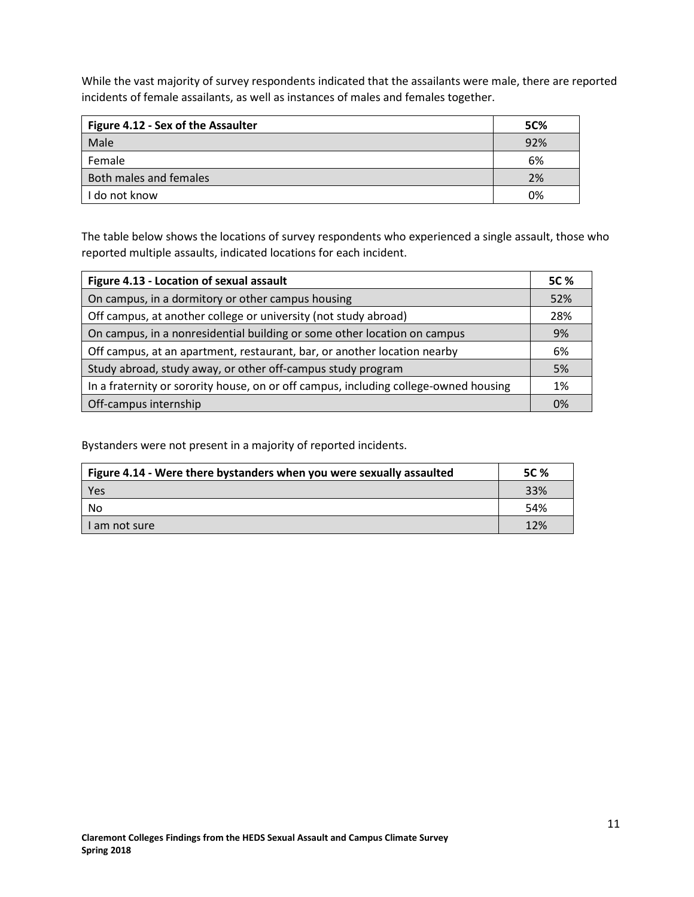While the vast majority of survey respondents indicated that the assailants were male, there are reported incidents of female assailants, as well as instances of males and females together.

| Figure 4.12 - Sex of the Assaulter | <b>5C%</b> |
|------------------------------------|------------|
| Male                               | 92%        |
| Female                             | 6%         |
| Both males and females             | 2%         |
| l do not know                      | 0%         |

The table below shows the locations of survey respondents who experienced a single assault, those who reported multiple assaults, indicated locations for each incident.

| Figure 4.13 - Location of sexual assault                                             |     |  |  |
|--------------------------------------------------------------------------------------|-----|--|--|
| On campus, in a dormitory or other campus housing                                    |     |  |  |
| Off campus, at another college or university (not study abroad)                      | 28% |  |  |
| On campus, in a nonresidential building or some other location on campus             |     |  |  |
| Off campus, at an apartment, restaurant, bar, or another location nearby             |     |  |  |
| Study abroad, study away, or other off-campus study program                          | 5%  |  |  |
| In a fraternity or sorority house, on or off campus, including college-owned housing | 1%  |  |  |
| Off-campus internship                                                                | 0%  |  |  |

Bystanders were not present in a majority of reported incidents.

| Figure 4.14 - Were there bystanders when you were sexually assaulted |     |  |
|----------------------------------------------------------------------|-----|--|
| Yes                                                                  | 33% |  |
| No                                                                   | 54% |  |
| I am not sure                                                        | 12% |  |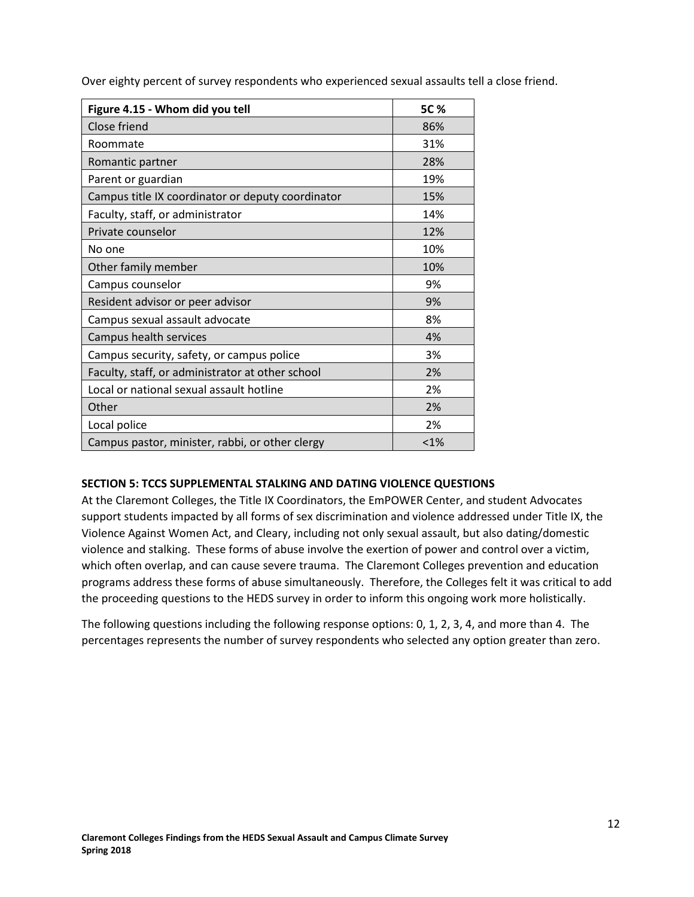|  |  | Over eighty percent of survey respondents who experienced sexual assaults tell a close friend. |  |  |  |
|--|--|------------------------------------------------------------------------------------------------|--|--|--|
|  |  |                                                                                                |  |  |  |

| Figure 4.15 - Whom did you tell                   | 5C % |
|---------------------------------------------------|------|
| Close friend                                      | 86%  |
| Roommate                                          | 31%  |
| Romantic partner                                  | 28%  |
| Parent or guardian                                | 19%  |
| Campus title IX coordinator or deputy coordinator | 15%  |
| Faculty, staff, or administrator                  | 14%  |
| Private counselor                                 | 12%  |
| No one                                            | 10%  |
| Other family member                               | 10%  |
| Campus counselor                                  | 9%   |
| Resident advisor or peer advisor                  | 9%   |
| Campus sexual assault advocate                    | 8%   |
| Campus health services                            | 4%   |
| Campus security, safety, or campus police         | 3%   |
| Faculty, staff, or administrator at other school  | 2%   |
| Local or national sexual assault hotline          | 2%   |
| Other                                             | 2%   |
| Local police                                      | 2%   |
| Campus pastor, minister, rabbi, or other clergy   | < 1% |

#### **SECTION 5: TCCS SUPPLEMENTAL STALKING AND DATING VIOLENCE QUESTIONS**

At the Claremont Colleges, the Title IX Coordinators, the EmPOWER Center, and student Advocates support students impacted by all forms of sex discrimination and violence addressed under Title IX, the Violence Against Women Act, and Cleary, including not only sexual assault, but also dating/domestic violence and stalking. These forms of abuse involve the exertion of power and control over a victim, which often overlap, and can cause severe trauma. The Claremont Colleges prevention and education programs address these forms of abuse simultaneously. Therefore, the Colleges felt it was critical to add the proceeding questions to the HEDS survey in order to inform this ongoing work more holistically.

The following questions including the following response options: 0, 1, 2, 3, 4, and more than 4. The percentages represents the number of survey respondents who selected any option greater than zero.